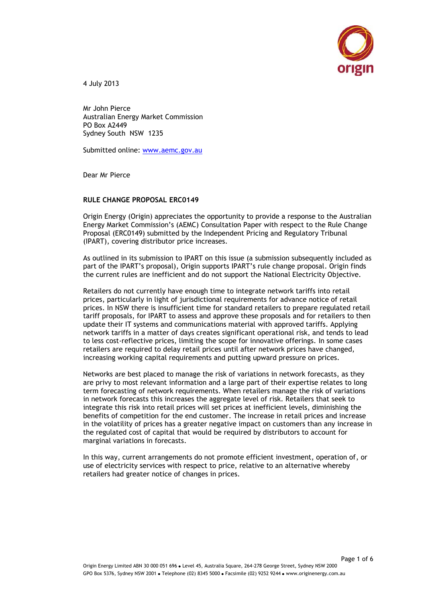

4 July 2013

Mr John Pierce Australian Energy Market Commission PO Box A2449 Sydney South NSW 1235

Submitted online: [www.aemc.gov.au](http://www.aemc.gov.au/) 

Dear Mr Pierce

## **RULE CHANGE PROPOSAL ERC0149**

Origin Energy (Origin) appreciates the opportunity to provide a response to the Australian Energy Market Commission"s (AEMC) Consultation Paper with respect to the Rule Change Proposal (ERC0149) submitted by the Independent Pricing and Regulatory Tribunal (IPART), covering distributor price increases.

As outlined in its submission to IPART on this issue (a submission subsequently included as part of the IPART"s proposal), Origin supports IPART"s rule change proposal. Origin finds the current rules are inefficient and do not support the National Electricity Objective.

Retailers do not currently have enough time to integrate network tariffs into retail prices, particularly in light of jurisdictional requirements for advance notice of retail prices. In NSW there is insufficient time for standard retailers to prepare regulated retail tariff proposals, for IPART to assess and approve these proposals and for retailers to then update their IT systems and communications material with approved tariffs. Applying network tariffs in a matter of days creates significant operational risk, and tends to lead to less cost-reflective prices, limiting the scope for innovative offerings. In some cases retailers are required to delay retail prices until after network prices have changed, increasing working capital requirements and putting upward pressure on prices.

Networks are best placed to manage the risk of variations in network forecasts, as they are privy to most relevant information and a large part of their expertise relates to long term forecasting of network requirements. When retailers manage the risk of variations in network forecasts this increases the aggregate level of risk. Retailers that seek to integrate this risk into retail prices will set prices at inefficient levels, diminishing the benefits of competition for the end customer. The increase in retail prices and increase in the volatility of prices has a greater negative impact on customers than any increase in the regulated cost of capital that would be required by distributors to account for marginal variations in forecasts.

In this way, current arrangements do not promote efficient investment, operation of, or use of electricity services with respect to price, relative to an alternative whereby retailers had greater notice of changes in prices.

Page 1 of 6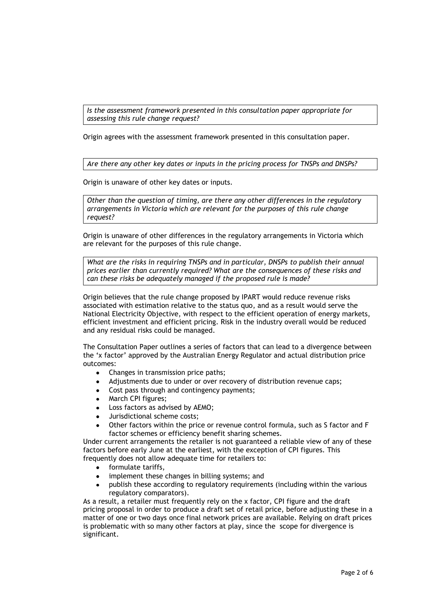*Is the assessment framework presented in this consultation paper appropriate for assessing this rule change request?*

Origin agrees with the assessment framework presented in this consultation paper.

*Are there any other key dates or inputs in the pricing process for TNSPs and DNSPs?*

Origin is unaware of other key dates or inputs.

*Other than the question of timing, are there any other differences in the regulatory arrangements in Victoria which are relevant for the purposes of this rule change request?*

Origin is unaware of other differences in the regulatory arrangements in Victoria which are relevant for the purposes of this rule change.

*What are the risks in requiring TNSPs and in particular, DNSPs to publish their annual prices earlier than currently required? What are the consequences of these risks and can these risks be adequately managed if the proposed rule is made?*

Origin believes that the rule change proposed by IPART would reduce revenue risks associated with estimation relative to the status quo, and as a result would serve the National Electricity Objective, with respect to the efficient operation of energy markets, efficient investment and efficient pricing. Risk in the industry overall would be reduced and any residual risks could be managed.

The Consultation Paper outlines a series of factors that can lead to a divergence between the "x factor" approved by the Australian Energy Regulator and actual distribution price outcomes:

- Changes in transmission price paths;
- Adjustments due to under or over recovery of distribution revenue caps;
- Cost pass through and contingency payments;
- March CPI figures;
- Loss factors as advised by AEMO;  $\bullet$
- Jurisdictional scheme costs;
- Other factors within the price or revenue control formula, such as S factor and F factor schemes or efficiency benefit sharing schemes.

Under current arrangements the retailer is not guaranteed a reliable view of any of these factors before early June at the earliest, with the exception of CPI figures. This frequently does not allow adequate time for retailers to:

- formulate tariffs,
- implement these changes in billing systems; and
- publish these according to regulatory requirements (including within the various regulatory comparators).

As a result, a retailer must frequently rely on the x factor, CPI figure and the draft pricing proposal in order to produce a draft set of retail price, before adjusting these in a matter of one or two days once final network prices are available. Relying on draft prices is problematic with so many other factors at play, since the scope for divergence is significant.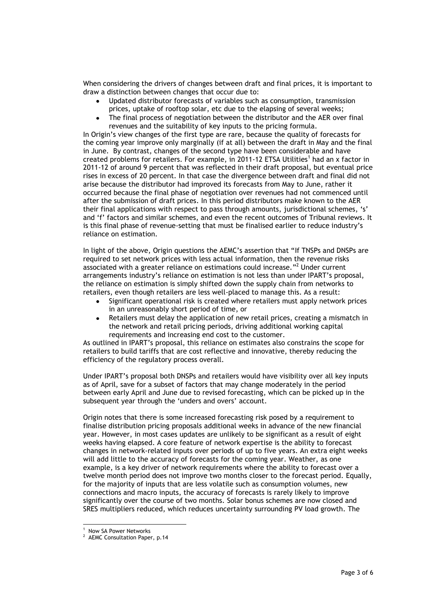When considering the drivers of changes between draft and final prices, it is important to draw a distinction between changes that occur due to:

- Updated distributor forecasts of variables such as consumption, transmission prices, uptake of rooftop solar, etc due to the elapsing of several weeks;
- The final process of negotiation between the distributor and the AER over final  $\bullet$ revenues and the suitability of key inputs to the pricing formula.

In Origin"s view changes of the first type are rare, because the quality of forecasts for the coming year improve only marginally (if at all) between the draft in May and the final in June. By contrast, changes of the second type have been considerable and have created problems for retailers. For example, in 2011-12 ETSA Utilities<sup>1</sup> had an x factor in 2011-12 of around 9 percent that was reflected in their draft proposal, but eventual price rises in excess of 20 percent. In that case the divergence between draft and final did not arise because the distributor had improved its forecasts from May to June, rather it occurred because the final phase of negotiation over revenues had not commenced until after the submission of draft prices. In this period distributors make known to the AER their final applications with respect to pass through amounts, jurisdictional schemes, 's' and "f" factors and similar schemes, and even the recent outcomes of Tribunal reviews. It is this final phase of revenue-setting that must be finalised earlier to reduce industry"s reliance on estimation.

In light of the above, Origin questions the AEMC"s assertion that "If TNSPs and DNSPs are required to set network prices with less actual information, then the revenue risks associated with a greater reliance on estimations could increase."<sup>2</sup> Under current arrangements industry"s reliance on estimation is not less than under IPART"s proposal, the reliance on estimation is simply shifted down the supply chain from networks to retailers, even though retailers are less well-placed to manage this. As a result:

- Significant operational risk is created where retailers must apply network prices in an unreasonably short period of time, or
- Retailers must delay the application of new retail prices, creating a mismatch in the network and retail pricing periods, driving additional working capital requirements and increasing end cost to the customer.

As outlined in IPART"s proposal, this reliance on estimates also constrains the scope for retailers to build tariffs that are cost reflective and innovative, thereby reducing the efficiency of the regulatory process overall.

Under IPART"s proposal both DNSPs and retailers would have visibility over all key inputs as of April, save for a subset of factors that may change moderately in the period between early April and June due to revised forecasting, which can be picked up in the subsequent year through the 'unders and overs' account.

Origin notes that there is some increased forecasting risk posed by a requirement to finalise distribution pricing proposals additional weeks in advance of the new financial year. However, in most cases updates are unlikely to be significant as a result of eight weeks having elapsed. A core feature of network expertise is the ability to forecast changes in network-related inputs over periods of up to five years. An extra eight weeks will add little to the accuracy of forecasts for the coming year. Weather, as one example, is a key driver of network requirements where the ability to forecast over a twelve month period does not improve two months closer to the forecast period. Equally, for the majority of inputs that are less volatile such as consumption volumes, new connections and macro inputs, the accuracy of forecasts is rarely likely to improve significantly over the course of two months. Solar bonus schemes are now closed and SRES multipliers reduced, which reduces uncertainty surrounding PV load growth. The

 1 Now SA Power Networks

<sup>&</sup>lt;sup>2</sup> AEMC Consultation Paper, p.14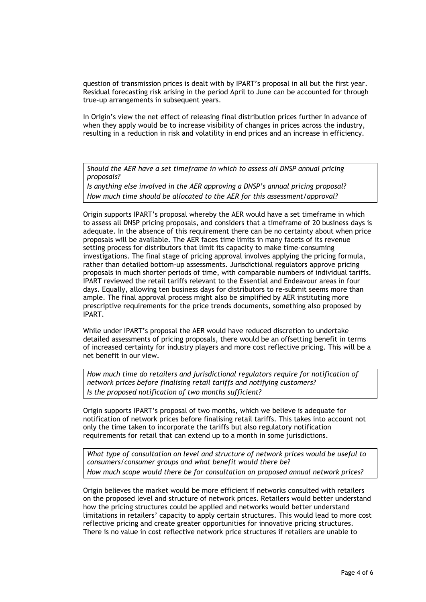question of transmission prices is dealt with by IPART"s proposal in all but the first year. Residual forecasting risk arising in the period April to June can be accounted for through true-up arrangements in subsequent years.

In Origin"s view the net effect of releasing final distribution prices further in advance of when they apply would be to increase visibility of changes in prices across the industry, resulting in a reduction in risk and volatility in end prices and an increase in efficiency.

*Should the AER have a set timeframe in which to assess all DNSP annual pricing proposals?*

*Is anything else involved in the AER approving a DNSP's annual pricing proposal? How much time should be allocated to the AER for this assessment/approval?*

Origin supports IPART"s proposal whereby the AER would have a set timeframe in which to assess all DNSP pricing proposals, and considers that a timeframe of 20 business days is adequate. In the absence of this requirement there can be no certainty about when price proposals will be available. The AER faces time limits in many facets of its revenue setting process for distributors that limit its capacity to make time-consuming investigations. The final stage of pricing approval involves applying the pricing formula, rather than detailed bottom-up assessments. Jurisdictional regulators approve pricing proposals in much shorter periods of time, with comparable numbers of individual tariffs. IPART reviewed the retail tariffs relevant to the Essential and Endeavour areas in four days. Equally, allowing ten business days for distributors to re-submit seems more than ample. The final approval process might also be simplified by AER instituting more prescriptive requirements for the price trends documents, something also proposed by IPART.

While under IPART"s proposal the AER would have reduced discretion to undertake detailed assessments of pricing proposals, there would be an offsetting benefit in terms of increased certainty for industry players and more cost reflective pricing. This will be a net benefit in our view.

*How much time do retailers and jurisdictional regulators require for notification of network prices before finalising retail tariffs and notifying customers? Is the proposed notification of two months sufficient?*

Origin supports IPART"s proposal of two months, which we believe is adequate for notification of network prices before finalising retail tariffs. This takes into account not only the time taken to incorporate the tariffs but also regulatory notification requirements for retail that can extend up to a month in some jurisdictions.

*What type of consultation on level and structure of network prices would be useful to consumers/consumer groups and what benefit would there be? How much scope would there be for consultation on proposed annual network prices?*

Origin believes the market would be more efficient if networks consulted with retailers on the proposed level and structure of network prices. Retailers would better understand how the pricing structures could be applied and networks would better understand limitations in retailers" capacity to apply certain structures. This would lead to more cost reflective pricing and create greater opportunities for innovative pricing structures. There is no value in cost reflective network price structures if retailers are unable to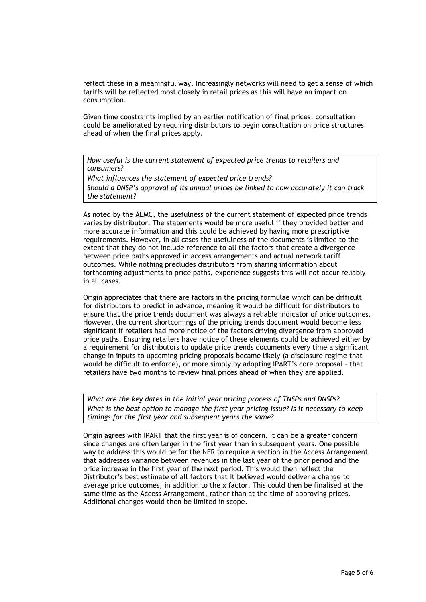reflect these in a meaningful way. Increasingly networks will need to get a sense of which tariffs will be reflected most closely in retail prices as this will have an impact on consumption.

Given time constraints implied by an earlier notification of final prices, consultation could be ameliorated by requiring distributors to begin consultation on price structures ahead of when the final prices apply.

*How useful is the current statement of expected price trends to retailers and consumers?*

*What influences the statement of expected price trends? Should a DNSP's approval of its annual prices be linked to how accurately it can track the statement?*

As noted by the AEMC, the usefulness of the current statement of expected price trends varies by distributor. The statements would be more useful if they provided better and more accurate information and this could be achieved by having more prescriptive requirements. However, in all cases the usefulness of the documents is limited to the extent that they do not include reference to all the factors that create a divergence between price paths approved in access arrangements and actual network tariff outcomes. While nothing precludes distributors from sharing information about forthcoming adjustments to price paths, experience suggests this will not occur reliably in all cases.

Origin appreciates that there are factors in the pricing formulae which can be difficult for distributors to predict in advance, meaning it would be difficult for distributors to ensure that the price trends document was always a reliable indicator of price outcomes. However, the current shortcomings of the pricing trends document would become less significant if retailers had more notice of the factors driving divergence from approved price paths. Ensuring retailers have notice of these elements could be achieved either by a requirement for distributors to update price trends documents every time a significant change in inputs to upcoming pricing proposals became likely (a disclosure regime that would be difficult to enforce), or more simply by adopting IPART"s core proposal – that retailers have two months to review final prices ahead of when they are applied.

*What are the key dates in the initial year pricing process of TNSPs and DNSPs? What is the best option to manage the first year pricing issue? Is it necessary to keep timings for the first year and subsequent years the same?*

Origin agrees with IPART that the first year is of concern. It can be a greater concern since changes are often larger in the first year than in subsequent years. One possible way to address this would be for the NER to require a section in the Access Arrangement that addresses variance between revenues in the last year of the prior period and the price increase in the first year of the next period. This would then reflect the Distributor"s best estimate of all factors that it believed would deliver a change to average price outcomes, in addition to the x factor. This could then be finalised at the same time as the Access Arrangement, rather than at the time of approving prices. Additional changes would then be limited in scope.